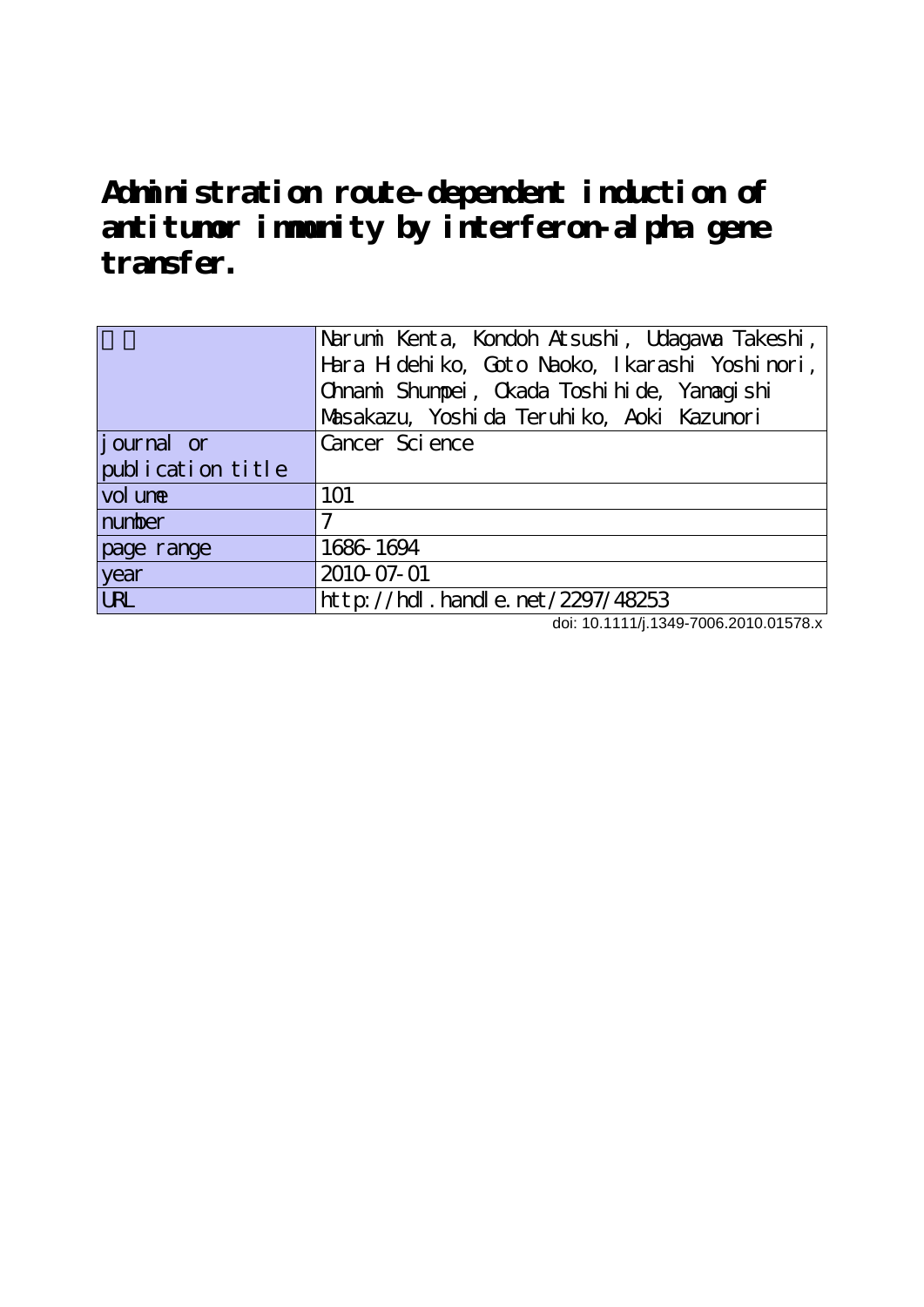**Administration route-dependent induction of antitumor immunity by interferon-alpha gene transfer.**

|                   | Narumi Kenta, Kondoh Atsushi, Udagawa Takeshi,<br>Hara H dehiko, Goto Naoko, Ikarashi Yoshinori, |  |  |  |
|-------------------|--------------------------------------------------------------------------------------------------|--|--|--|
|                   |                                                                                                  |  |  |  |
|                   | Chnami Shunpei, Ckada Toshi hi de, Yanagi shi<br>Masakazu, Yoshi da Teruhi ko, Aoki Kazunori     |  |  |  |
|                   |                                                                                                  |  |  |  |
| journal or        | Cancer Science                                                                                   |  |  |  |
| publication title |                                                                                                  |  |  |  |
| vol une           | 101                                                                                              |  |  |  |
| number            | 7                                                                                                |  |  |  |
| page range        | 1686-1694                                                                                        |  |  |  |
| year              | 2010-07-01                                                                                       |  |  |  |
| <b>URL</b>        | http://hdl.handle.net/2297/48253                                                                 |  |  |  |

doi: 10.1111/j.1349-7006.2010.01578.x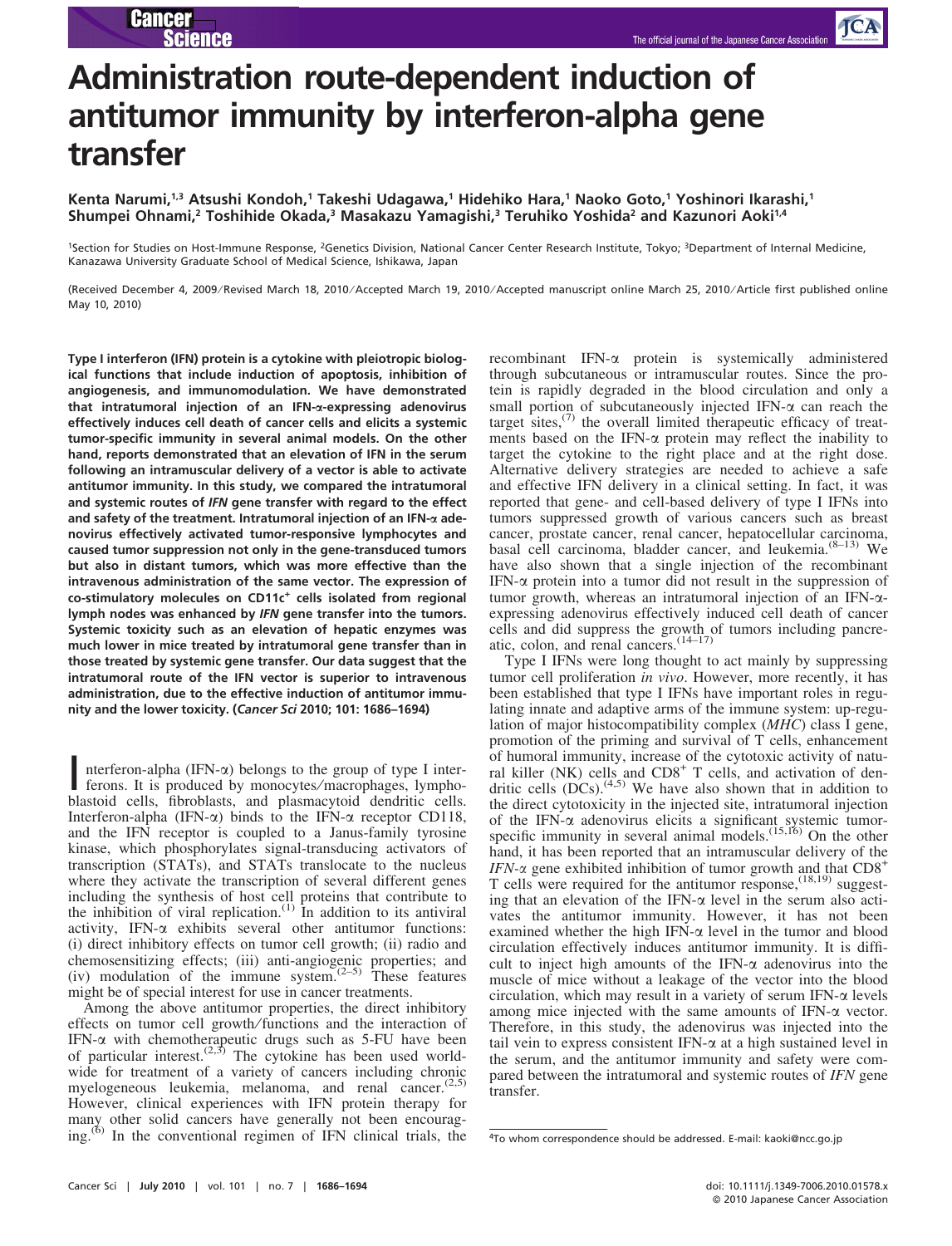# Administration route-dependent induction of antitumor immunity by interferon-alpha gene transfer

# Kenta Narumi,<sup>1,3</sup> Atsushi Kondoh,<sup>1</sup> Takeshi Udagawa,<sup>1</sup> Hidehiko Hara,<sup>1</sup> Naoko Goto,<sup>1</sup> Yoshinori Ikarashi,<sup>1</sup> Shumpei Ohnami,<sup>2</sup> Toshihide Okada,<sup>3</sup> Masakazu Yamagishi,<sup>3</sup> Teruhiko Yoshida<sup>2</sup> and Kazunori Aoki<sup>1,4</sup>

1Section for Studies on Host-Immune Response, 2Genetics Division, National Cancer Center Research Institute, Tokyo; 3Department of Internal Medicine, Kanazawa University Graduate School of Medical Science, Ishikawa, Japan

(Received December 4, 2009 ⁄ Revised March 18, 2010 ⁄ Accepted March 19, 2010 ⁄ Accepted manuscript online March 25, 2010 ⁄ Article first published online May 10, 2010)

Type I interferon (IFN) protein is a cytokine with pleiotropic biological functions that include induction of apoptosis, inhibition of angiogenesis, and immunomodulation. We have demonstrated that intratumoral injection of an IFN-a-expressing adenovirus effectively induces cell death of cancer cells and elicits a systemic tumor-specific immunity in several animal models. On the other hand, reports demonstrated that an elevation of IFN in the serum following an intramuscular delivery of a vector is able to activate antitumor immunity. In this study, we compared the intratumoral and systemic routes of IFN gene transfer with regard to the effect and safety of the treatment. Intratumoral injection of an IFN- $\alpha$  adenovirus effectively activated tumor-responsive lymphocytes and caused tumor suppression not only in the gene-transduced tumors but also in distant tumors, which was more effective than the intravenous administration of the same vector. The expression of co-stimulatory molecules on CD11c<sup>+</sup> cells isolated from regional lymph nodes was enhanced by IFN gene transfer into the tumors. Systemic toxicity such as an elevation of hepatic enzymes was much lower in mice treated by intratumoral gene transfer than in those treated by systemic gene transfer. Our data suggest that the intratumoral route of the IFN vector is superior to intravenous administration, due to the effective induction of antitumor immunity and the lower toxicity. (Cancer Sci 2010; 101: 1686–1694)

I nterferon-alpha (IFN- $\alpha$ ) belongs to the group of type I inter-<br>ferons. It is produced by monocytes/macrophages, lympho-<br>bloctoid college fibroblests, and plegmentaid dondritionally blastoid cells, fibroblasts, and plasmacytoid dendritic cells. Interferon-alpha (IFN- $\alpha$ ) binds to the IFN- $\alpha$  receptor CD118, and the IFN receptor is coupled to a Janus-family tyrosine kinase, which phosphorylates signal-transducing activators of transcription (STATs), and STATs translocate to the nucleus where they activate the transcription of several different genes including the synthesis of host cell proteins that contribute to the inhibition of viral replication.<sup>(1)</sup> In addition to its antiviral activity, IFN- $\alpha$  exhibits several other antitumor functions: (i) direct inhibitory effects on tumor cell growth; (ii) radio and chemosensitizing effects; (iii) anti-angiogenic properties; and (iv) modulation of the immune system.<sup> $(2-5)$ </sup> These features might be of special interest for use in cancer treatments.

Among the above antitumor properties, the direct inhibitory effects on tumor cell growth/functions and the interaction of IFN- $\alpha$  with chemotherapeutic drugs such as 5-FU have been of particular interest.<sup>(2,3)</sup> The cytokine has been used worldof particular increase.<br>wide for treatment of a variety of cancers including chronic<br> $\frac{1}{2}(2.5)$ myelogeneous leukemia, melanoma, and renal cancer. However, clinical experiences with IFN protein therapy for many other solid cancers have generally not been encouraging.<sup>(6)</sup> In the conventional regimen of IFN clinical trials, the

recombinant IFN-a protein is systemically administered through subcutaneous or intramuscular routes. Since the protein is rapidly degraded in the blood circulation and only a small portion of subcutaneously injected IFN- $\alpha$  can reach the target sites, $\binom{7}{1}$  the overall limited therapeutic efficacy of treatments based on the IFN-a protein may reflect the inability to target the cytokine to the right place and at the right dose. Alternative delivery strategies are needed to achieve a safe and effective IFN delivery in a clinical setting. In fact, it was reported that gene- and cell-based delivery of type I IFNs into tumors suppressed growth of various cancers such as breast cancer, prostate cancer, renal cancer, hepatocellular carcinoma, basal cell carcinoma, bladder cancer, and leukemia.<sup>(8-13)</sup> We have also shown that a single injection of the recombinant IFN- $\alpha$  protein into a tumor did not result in the suppression of tumor growth, whereas an intratumoral injection of an IFN-aexpressing adenovirus effectively induced cell death of cancer cells and did suppress the growth of tumors including pancre-<br>atic, colon, and renal cancers.  $(14-17)$ 

Type I IFNs were long thought to act mainly by suppressing tumor cell proliferation in vivo. However, more recently, it has been established that type I IFNs have important roles in regulating innate and adaptive arms of the immune system: up-regulation of major histocompatibility complex (MHC) class I gene, promotion of the priming and survival of T cells, enhancement of humoral immunity, increase of the cytotoxic activity of natu-ral killer (NK) cells and CD8<sup>+</sup> T cells, and activation of dendritic cells  $(DCs)$ .<sup>(4,5)</sup> We have also shown that in addition to the direct cytotoxicity in the injected site, intratumoral injection of the IFN- $\alpha$  adenovirus elicits a significant systemic tumor-specific immunity in several animal models.<sup>(15,16)</sup> On the other hand, it has been reported that an intramuscular delivery of the IFN- $\alpha$  gene exhibited inhibition of tumor growth and that  $CD8^+$ T cells were required for the antitumor response,  $^{(18,19)}$  suggesting that an elevation of the IFN- $\alpha$  level in the serum also activates the antitumor immunity. However, it has not been examined whether the high IFN- $\alpha$  level in the tumor and blood circulation effectively induces antitumor immunity. It is difficult to inject high amounts of the IFN- $\alpha$  adenovirus into the muscle of mice without a leakage of the vector into the blood circulation, which may result in a variety of serum IFN- $\alpha$  levels among mice injected with the same amounts of IFN- $\alpha$  vector. Therefore, in this study, the adenovirus was injected into the tail vein to express consistent IFN- $\alpha$  at a high sustained level in the serum, and the antitumor immunity and safety were compared between the intratumoral and systemic routes of IFN gene transfer.

<sup>4</sup>To whom correspondence should be addressed. E-mail: kaoki@ncc.go.jp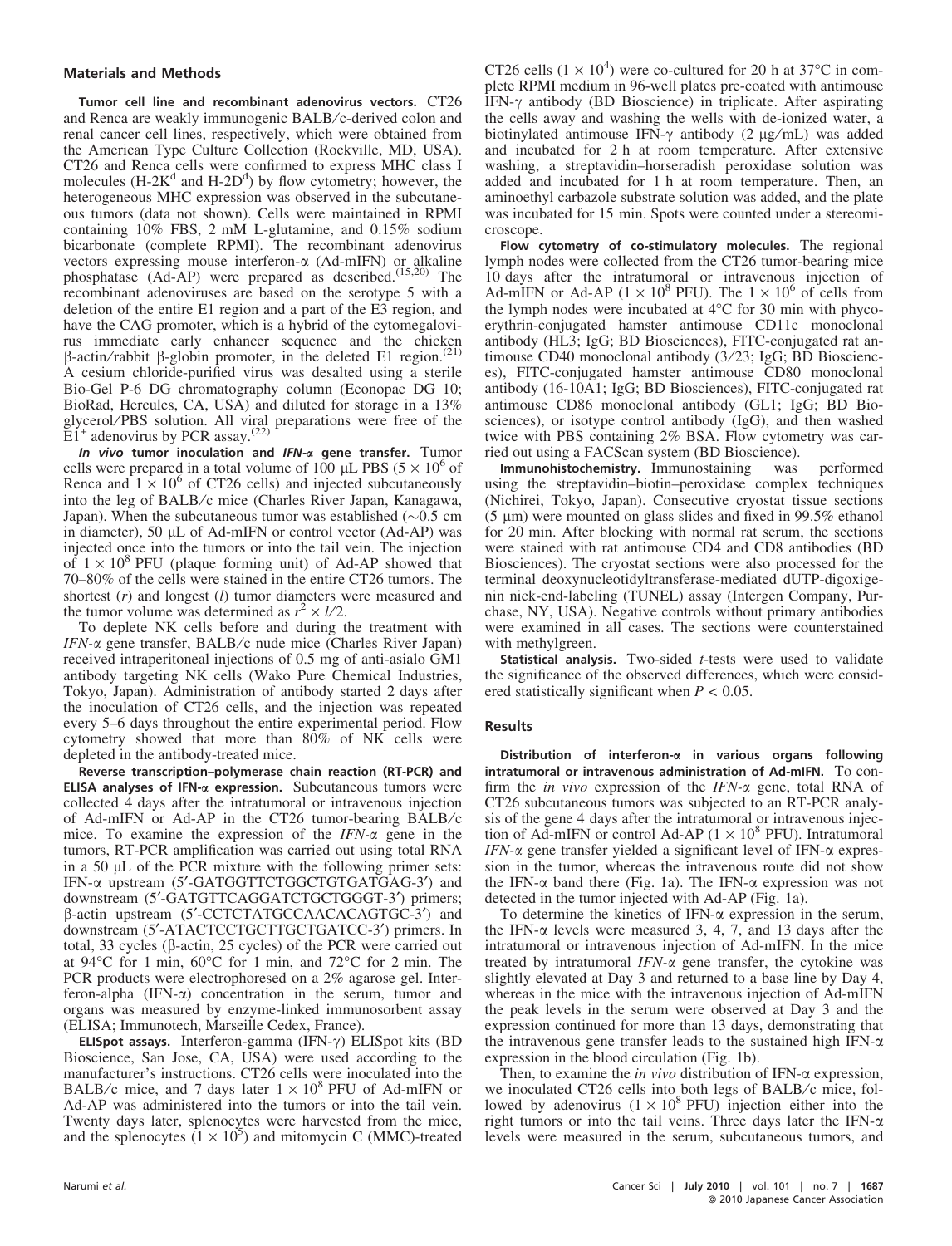### Materials and Methods

Tumor cell line and recombinant adenovirus vectors. CT26 and Renca are weakly immunogenic BALB⁄ c-derived colon and renal cancer cell lines, respectively, which were obtained from the American Type Culture Collection (Rockville, MD, USA). CT26 and Renca cells were confirmed to express MHC class I molecules (H-2 $K<sup>d</sup>$  and H-2 $D<sup>d</sup>$ ) by flow cytometry; however, the heterogeneous MHC expression was observed in the subcutaneous tumors (data not shown). Cells were maintained in RPMI containing 10% FBS, 2 mM L-glutamine, and 0.15% sodium bicarbonate (complete RPMI). The recombinant adenovirus vectors expressing mouse interferon- $\alpha$  (Ad-mIFN) or alkaline phosphatase (Ad-AP) were prepared as described.<sup>(15,20)</sup> The recombinant adenoviruses are based on the serotype 5 with a deletion of the entire E1 region and a part of the E3 region, and have the CAG promoter, which is a hybrid of the cytomegalovirus immediate early enhancer sequence and the chicken  $\beta$ -actin/rabbit  $\beta$ -globin promoter, in the deleted E1 region.<sup>(21)</sup> A cesium chloride-purified virus was desalted using a sterile Bio-Gel P-6 DG chromatography column (Econopac DG 10; BioRad, Hercules, CA, USA) and diluted for storage in a 13% glycerol/PBS solution. All viral preparations were free of the  $E1^+$  adenovirus by PCR assay.<sup>(22)</sup>

In vivo tumor inoculation and IFN- $\alpha$  gene transfer. Tumor cells were prepared in a total volume of 100 µL PBS ( $5 \times 10^{6}$  of Renca and  $1 \times 10^6$  of CT26 cells) and injected subcutaneously into the leg of BALB/c mice (Charles River Japan, Kanagawa, Japan). When the subcutaneous tumor was established  $(\sim 0.5 \text{ cm})$ in diameter),  $50 \mu L$  of Ad-mIFN or control vector (Ad-AP) was injected once into the tumors or into the tail vein. The injection of  $1 \times 10^8$  PFU (plaque forming unit) of Ad-AP showed that 70–80% of the cells were stained in the entire CT26 tumors. The shortest  $(r)$  and longest  $(l)$  tumor diameters were measured and the tumor volume was determined as  $r^2 \times l/2$ .

To deplete NK cells before and during the treatment with  $IFN-\alpha$  gene transfer, BALB/c nude mice (Charles River Japan) received intraperitoneal injections of 0.5 mg of anti-asialo GM1 antibody targeting NK cells (Wako Pure Chemical Industries, Tokyo, Japan). Administration of antibody started 2 days after the inoculation of CT26 cells, and the injection was repeated every 5–6 days throughout the entire experimental period. Flow cytometry showed that more than 80% of NK cells were depleted in the antibody-treated mice.

Reverse transcription–polymerase chain reaction (RT-PCR) and ELISA analyses of IFN- $\alpha$  expression. Subcutaneous tumors were collected 4 days after the intratumoral or intravenous injection of Ad-mIFN or Ad-AP in the CT26 tumor-bearing BALB/c mice. To examine the expression of the  $IFN-\alpha$  gene in the tumors, RT-PCR amplification was carried out using total RNA in a 50  $\mu$ L of the PCR mixture with the following primer sets: IFN-α upstream (5'-GATGGTTCTGGCTGTGATGAG-3') and downstream (5'-GATGTTCAGGATCTGCTGGGT-3') primers;  $\beta$ -actin upstream (5'-CCTCTATGCCAACACAGTGC-3') and downstream (5'-ATACTCCTGCTTGCTGATCC-3') primers. In total, 33 cycles ( $\beta$ -actin, 25 cycles) of the PCR were carried out at  $94^{\circ}$ C for 1 min,  $60^{\circ}$ C for 1 min, and  $72^{\circ}$ C for 2 min. The PCR products were electrophoresed on a 2% agarose gel. Interferon-alpha  $(IFN-\alpha)$  concentration in the serum, tumor and organs was measured by enzyme-linked immunosorbent assay (ELISA; Immunotech, Marseille Cedex, France).

ELISpot assays. Interferon-gamma (IFN- $\gamma$ ) ELISpot kits (BD Bioscience, San Jose, CA, USA) were used according to the manufacturer's instructions. CT26 cells were inoculated into the BALB/c mice, and 7 days later  $1 \times 10^8$  PFU of Ad-mIFN or Ad-AP was administered into the tumors or into the tail vein. Twenty days later, splenocytes were harvested from the mice, and the splenocytes  $(1 \times 10^5)$  and mitomycin C (MMC)-treated

CT26 cells  $(1 \times 10^4)$  were co-cultured for 20 h at 37°C in complete RPMI medium in 96-well plates pre-coated with antimouse IFN- $\gamma$  antibody (BD Bioscience) in triplicate. After aspirating the cells away and washing the wells with de-ionized water, a biotinylated antimouse IFN- $\gamma$  antibody (2 µg/mL) was added and incubated for 2 h at room temperature. After extensive washing, a streptavidin–horseradish peroxidase solution was added and incubated for 1 h at room temperature. Then, an aminoethyl carbazole substrate solution was added, and the plate was incubated for 15 min. Spots were counted under a stereomicroscope.

Flow cytometry of co-stimulatory molecules. The regional lymph nodes were collected from the CT26 tumor-bearing mice 10 days after the intratumoral or intravenous injection of Ad-mIFN or Ad-AP ( $1 \times 10^8$  PFU). The  $1 \times 10^6$  of cells from the lymph nodes were incubated at  $4^{\circ}$ C for 30 min with phycoerythrin-conjugated hamster antimouse CD11c monoclonal antibody (HL3; IgG; BD Biosciences), FITC-conjugated rat antimouse CD40 monoclonal antibody  $(3/23; 1gG; BD)$  Biosciences), FITC-conjugated hamster antimouse CD80 monoclonal antibody (16-10A1; IgG; BD Biosciences), FITC-conjugated rat antimouse CD86 monoclonal antibody (GL1; IgG; BD Biosciences), or isotype control antibody (IgG), and then washed twice with PBS containing 2% BSA. Flow cytometry was carried out using a FACScan system (BD Bioscience).

Immunohistochemistry. Immunostaining was performed using the streptavidin–biotin–peroxidase complex techniques (Nichirei, Tokyo, Japan). Consecutive cryostat tissue sections (5  $\mu$ m) were mounted on glass slides and fixed in 99.5% ethanol for 20 min. After blocking with normal rat serum, the sections were stained with rat antimouse CD4 and CD8 antibodies (BD Biosciences). The cryostat sections were also processed for the terminal deoxynucleotidyltransferase-mediated dUTP-digoxigenin nick-end-labeling (TUNEL) assay (Intergen Company, Purchase, NY, USA). Negative controls without primary antibodies were examined in all cases. The sections were counterstained with methylgreen.

Statistical analysis. Two-sided *t*-tests were used to validate the significance of the observed differences, which were considered statistically significant when  $P < 0.05$ .

#### Results

Distribution of interferon-a in various organs following intratumoral or intravenous administration of Ad-mIFN. To confirm the *in vivo* expression of the  $IFN-\alpha$  gene, total RNA of CT26 subcutaneous tumors was subjected to an RT-PCR analysis of the gene 4 days after the intratumoral or intravenous injection of Ad-mIFN or control Ad-AP ( $1 \times 10^8$  PFU). Intratumoral  $IFN-\alpha$  gene transfer yielded a significant level of IFN- $\alpha$  expression in the tumor, whereas the intravenous route did not show the IFN- $\alpha$  band there (Fig. 1a). The IFN- $\alpha$  expression was not detected in the tumor injected with Ad-AP (Fig. 1a).

To determine the kinetics of IFN- $\alpha$  expression in the serum, the IFN- $\alpha$  levels were measured 3, 4, 7, and 13 days after the intratumoral or intravenous injection of Ad-mIFN. In the mice treated by intratumoral  $IFN-\alpha$  gene transfer, the cytokine was slightly elevated at Day 3 and returned to a base line by Day 4, whereas in the mice with the intravenous injection of Ad-mIFN the peak levels in the serum were observed at Day 3 and the expression continued for more than 13 days, demonstrating that the intravenous gene transfer leads to the sustained high IFN- $\alpha$ expression in the blood circulation (Fig. 1b).

Then, to examine the *in vivo* distribution of IFN- $\alpha$  expression, we inoculated CT26 cells into both legs of BALB/c mice, followed by adenovirus  $(1 \times 10^8 \text{ PFU})$  injection either into the right tumors or into the tail veins. Three days later the IFN- $\alpha$ levels were measured in the serum, subcutaneous tumors, and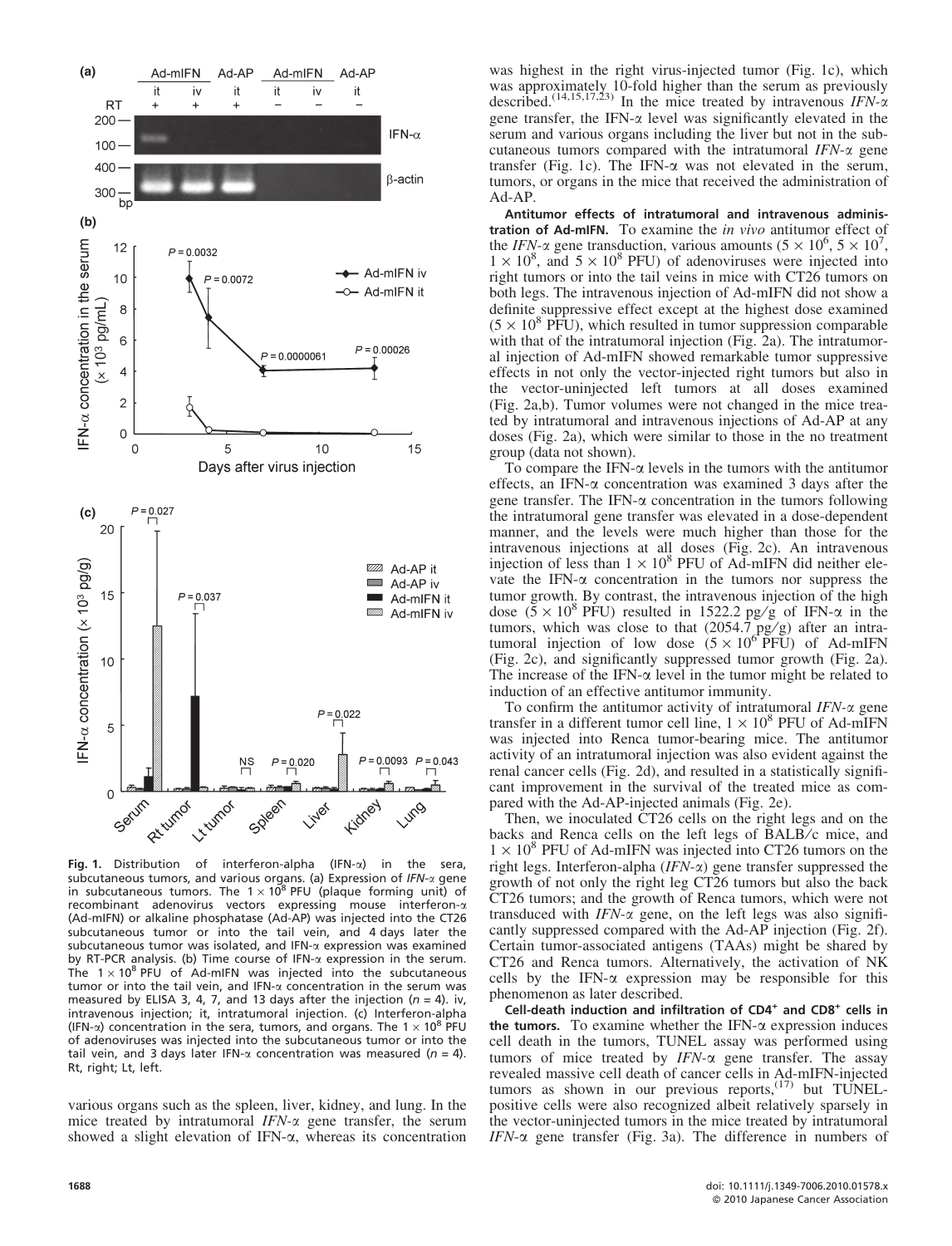

Fig. 1. Distribution of interferon-alpha (IFN- $\alpha$ ) in the sera, subcutaneous tumors, and various organs. (a) Expression of  $IFN-\alpha$  gene in subcutaneous tumors. The  $1 \times 10^8$  PFU (plaque forming unit) of recombinant adenovirus vectors expressing mouse interferon-a (Ad-mIFN) or alkaline phosphatase (Ad-AP) was injected into the CT26 subcutaneous tumor or into the tail vein, and 4 days later the subcutaneous tumor was isolated, and IFN-a expression was examined by RT-PCR analysis. (b) Time course of IFN-a expression in the serum. The  $1 \times 10^8$  PFU of Ad-mIFN was injected into the subcutaneous tumor or into the tail vein, and IFN-a concentration in the serum was measured by ELISA 3, 4, 7, and 13 days after the injection ( $n = 4$ ). iv, intravenous injection; it, intratumoral injection. (c) Interferon-alpha (IFN- $\alpha$ ) concentration in the sera, tumors, and organs. The 1  $\times$  10<sup>8</sup> PFU of adenoviruses was injected into the subcutaneous tumor or into the tail vein, and 3 days later IFN- $\alpha$  concentration was measured (n = 4). Rt, right; Lt, left.

various organs such as the spleen, liver, kidney, and lung. In the mice treated by intratumoral  $IFN-\alpha$  gene transfer, the serum showed a slight elevation of IFN- $\alpha$ , whereas its concentration

was highest in the right virus-injected tumor (Fig. 1c), which was approximately 10-fold higher than the serum as previously described.<sup>(14,15,17,23)</sup> In the mice treated by intravenous  $IFN-\alpha$ gene transfer, the IFN- $\alpha$  level was significantly elevated in the serum and various organs including the liver but not in the subcutaneous tumors compared with the intratumoral  $IFN-\alpha$  gene transfer (Fig. 1c). The IFN- $\alpha$  was not elevated in the serum, tumors, or organs in the mice that received the administration of Ad-AP.

Antitumor effects of intratumoral and intravenous administration of Ad-mIFN. To examine the in vivo antitumor effect of the IFN- $\alpha$  gene transduction, various amounts (5  $\times$  10<sup>6</sup>, 5  $\times$  10<sup>7</sup>,  $1 \times 10^8$ , and  $5 \times 10^8$  PFU) of adenoviruses were injected into right tumors or into the tail veins in mice with CT26 tumors on both legs. The intravenous injection of Ad-mIFN did not show a definite suppressive effect except at the highest dose examined  $(5 \times 10^8 \text{ PFU})$ , which resulted in tumor suppression comparable with that of the intratumoral injection (Fig. 2a). The intratumoral injection of Ad-mIFN showed remarkable tumor suppressive effects in not only the vector-injected right tumors but also in the vector-uninjected left tumors at all doses examined (Fig. 2a,b). Tumor volumes were not changed in the mice treated by intratumoral and intravenous injections of Ad-AP at any doses (Fig. 2a), which were similar to those in the no treatment group (data not shown).

To compare the IFN- $\alpha$  levels in the tumors with the antitumor effects, an IFN- $\alpha$  concentration was examined 3 days after the gene transfer. The IFN- $\alpha$  concentration in the tumors following the intratumoral gene transfer was elevated in a dose-dependent manner, and the levels were much higher than those for the intravenous injections at all doses (Fig. 2c). An intravenous injection of less than  $1 \times 10^8$  PFU of Ad-mIFN did neither elevate the IFN- $\alpha$  concentration in the tumors nor suppress the tumor growth. By contrast, the intravenous injection of the high dose  $(5 \times 10^8 \text{ PFU})$  resulted in 1522.2 pg/g of IFN- $\alpha$  in the tumors, which was close to that  $(2054.7 \,\text{pg/g})$  after an intratumoral injection of low dose  $(5 \times 10^6 \text{ PFU})$  of Ad-mIFN (Fig. 2c), and significantly suppressed tumor growth (Fig. 2a). The increase of the IFN- $\alpha$  level in the tumor might be related to induction of an effective antitumor immunity.

To confirm the antitumor activity of intratumoral  $IFN-\alpha$  gene transfer in a different tumor cell line,  $1 \times 10^8$  PFU of Ad-mIFN was injected into Renca tumor-bearing mice. The antitumor activity of an intratumoral injection was also evident against the renal cancer cells (Fig. 2d), and resulted in a statistically significant improvement in the survival of the treated mice as compared with the Ad-AP-injected animals (Fig. 2e).

Then, we inoculated CT26 cells on the right legs and on the backs and Renca cells on the left legs of BALB/c mice, and  $1 \times 10^8$  PFU of Ad-mIFN was injected into CT26 tumors on the right legs. Interferon-alpha  $(IFN-\alpha)$  gene transfer suppressed the growth of not only the right leg CT26 tumors but also the back CT26 tumors; and the growth of Renca tumors, which were not transduced with  $IFN-\alpha$  gene, on the left legs was also significantly suppressed compared with the Ad-AP injection (Fig. 2f). Certain tumor-associated antigens (TAAs) might be shared by CT26 and Renca tumors. Alternatively, the activation of NK cells by the IFN- $\alpha$  expression may be responsible for this phenomenon as later described.

Cell-death induction and infiltration of CD4<sup>+</sup> and CD8<sup>+</sup> cells in the tumors. To examine whether the IFN- $\alpha$  expression induces cell death in the tumors, TUNEL assay was performed using tumors of mice treated by  $IFN-\alpha$  gene transfer. The assay revealed massive cell death of cancer cells in Ad-mIFN-injected tumors as shown in our previous reports,<sup>(17)</sup> but TUNELpositive cells were also recognized albeit relatively sparsely in the vector-uninjected tumors in the mice treated by intratumoral IFN-a gene transfer (Fig. 3a). The difference in numbers of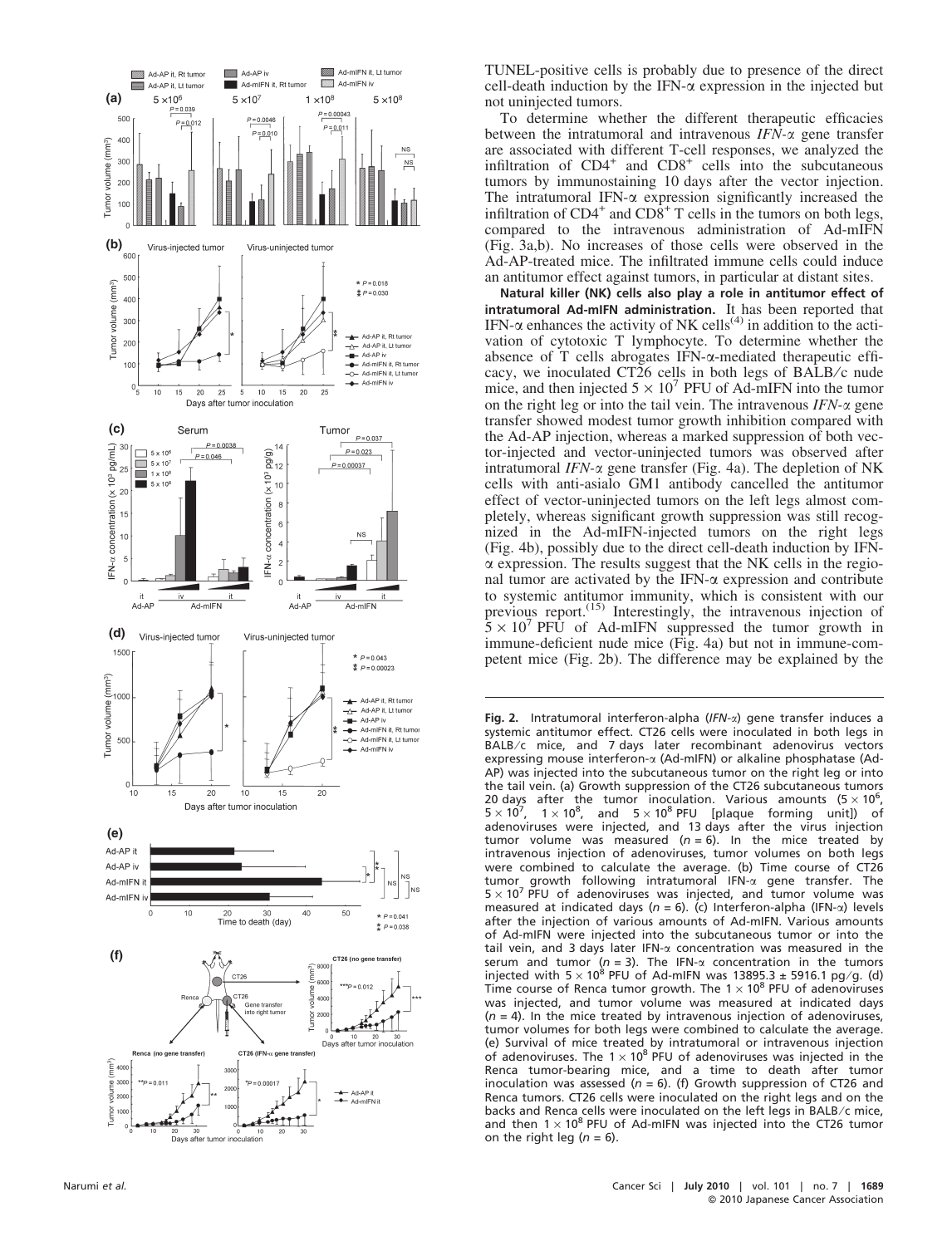

TUNEL-positive cells is probably due to presence of the direct cell-death induction by the IFN-a expression in the injected but not uninjected tumors.

To determine whether the different therapeutic efficacies between the intratumoral and intravenous  $IFN-\alpha$  gene transfer are associated with different T-cell responses, we analyzed the infiltration of  $CD4^+$  and  $CD8^+$  cells into the subcutaneous tumors by immunostaining 10 days after the vector injection. The intratumoral IFN- $\alpha$  expression significantly increased the infiltration of  $CD4^+$  and  $CD8^+$  T cells in the tumors on both legs, compared to the intravenous administration of Ad-mIFN (Fig. 3a,b). No increases of those cells were observed in the Ad-AP-treated mice. The infiltrated immune cells could induce an antitumor effect against tumors, in particular at distant sites.

Natural killer (NK) cells also play a role in antitumor effect of intratumoral Ad-mIFN administration. It has been reported that IFN- $\alpha$  enhances the activity of NK cells<sup>(4)</sup> in addition to the activation of cytotoxic T lymphocyte. To determine whether the absence of T cells abrogates IFN-a-mediated therapeutic efficacy, we inoculated CT26 cells in both legs of BALB/ $c$  nude mice, and then injected  $5 \times 10^7$  PFU of Ad-mIFN into the tumor on the right leg or into the tail vein. The intravenous  $IFN-\alpha$  gene transfer showed modest tumor growth inhibition compared with the Ad-AP injection, whereas a marked suppression of both vector-injected and vector-uninjected tumors was observed after intratumoral IFN- $\alpha$  gene transfer (Fig. 4a). The depletion of NK cells with anti-asialo GM1 antibody cancelled the antitumor effect of vector-uninjected tumors on the left legs almost completely, whereas significant growth suppression was still recognized in the Ad-mIFN-injected tumors on the right legs (Fig. 4b), possibly due to the direct cell-death induction by IFN-  $\alpha$  expression. The results suggest that the NK cells in the regional tumor are activated by the IFN- $\alpha$  expression and contribute to systemic antitumor immunity, which is consistent with our previous report.<sup>(15)</sup> Interestingly, the intravenous injection of  $5 \times 10^7$  PFU of Ad-mIFN suppressed the tumor growth in immune-deficient nude mice (Fig. 4a) but not in immune-competent mice (Fig. 2b). The difference may be explained by the

Fig. 2. Intratumoral interferon-alpha (IFN-a) gene transfer induces a systemic antitumor effect. CT26 cells were inoculated in both legs in BALB/c mice, and 7 days later recombinant adenovirus vectors expressing mouse interferon-a (Ad-mIFN) or alkaline phosphatase (Ad-AP) was injected into the subcutaneous tumor on the right leg or into the tail vein. (a) Growth suppression of the CT26 subcutaneous tumors 20 days after the tumor inoculation. Various amounts  $(5 \times 10^6)$  $5 \times 10^7$ ,  $1 \times 10^8$ , and  $5 \times 10^8$  PFU [plaque forming unit]) of adenoviruses were injected, and 13 days after the virus injection tumor volume was measured ( $n = 6$ ). In the mice treated by intravenous injection of adenoviruses, tumor volumes on both legs were combined to calculate the average. (b) Time course of CT26 tumor growth following intratumoral IFN-a gene transfer. The  $5 \times 10^7$  PFU of adenoviruses was injected, and tumor volume was measured at indicated days ( $n = 6$ ). (c) Interferon-alpha (IFN- $\alpha$ ) levels after the injection of various amounts of Ad-mIFN. Various amounts of Ad-mIFN were injected into the subcutaneous tumor or into the tail vein, and 3 days later IFN-a concentration was measured in the serum and tumor ( $n = 3$ ). The IFN- $\alpha$  concentration in the tumors injected with  $5 \times 10^8$  PFU of Ad-mIFN was 13895.3 ± 5916.1 pg/g. (d) Time course of Renca tumor growth. The  $1 \times 10^8$  PFU of adenoviruses was injected, and tumor volume was measured at indicated days  $(n = 4)$ . In the mice treated by intravenous injection of adenoviruses, tumor volumes for both legs were combined to calculate the average. (e) Survival of mice treated by intratumoral or intravenous injection of adenoviruses. The  $1 \times 10^8$  PFU of adenoviruses was injected in the Renca tumor-bearing mice, and a time to death after tumor inoculation was assessed ( $n = 6$ ). (f) Growth suppression of CT26 and Renca tumors. CT26 cells were inoculated on the right legs and on the backs and Renca cells were inoculated on the left legs in BALB/c mice, and then  $1 \times 10^8$  PFU of Ad-mIFN was injected into the CT26 tumor on the right leg ( $n = 6$ ).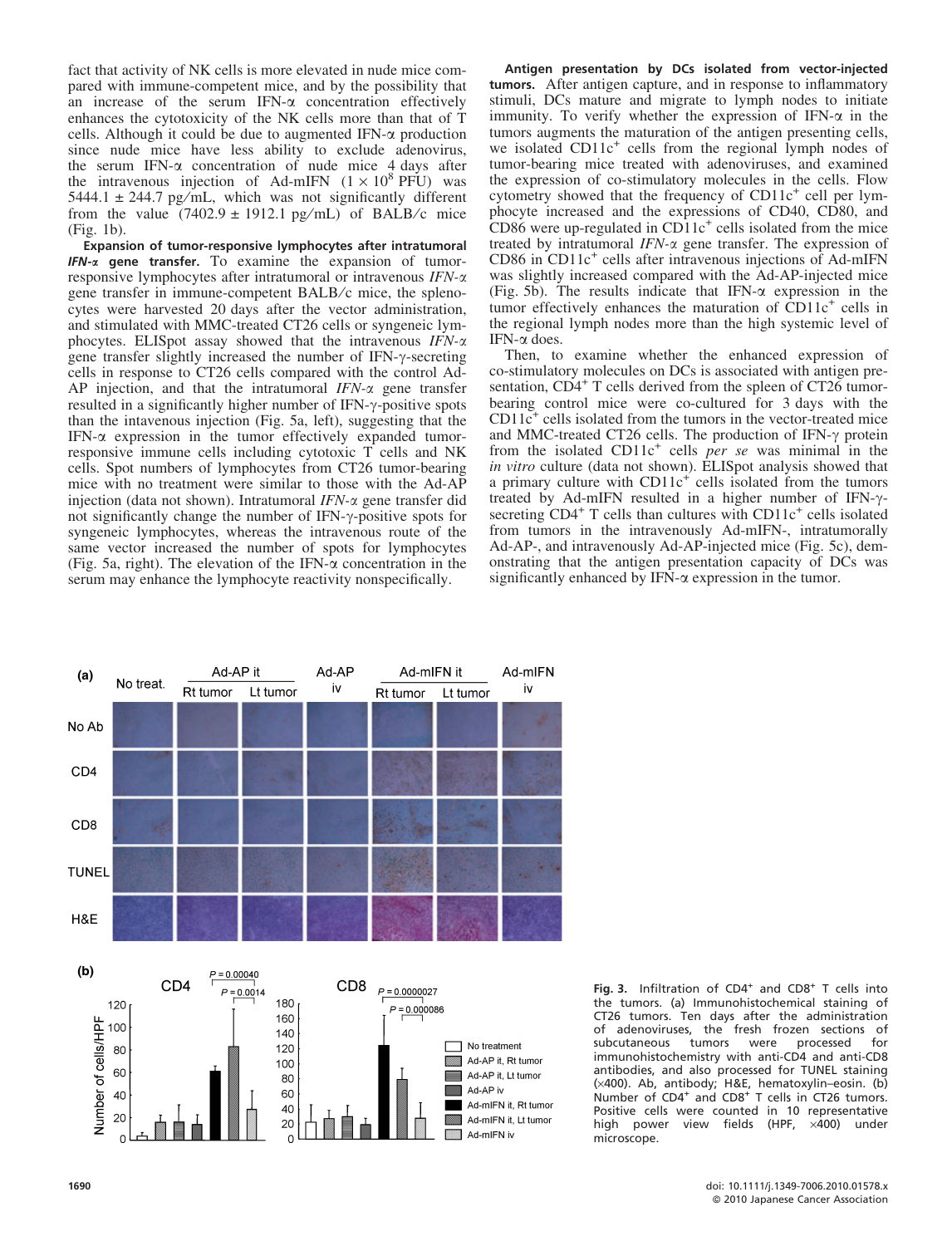fact that activity of NK cells is more elevated in nude mice compared with immune-competent mice, and by the possibility that an increase of the serum IFN- $\alpha$  concentration effectively enhances the cytotoxicity of the NK cells more than that of T cells. Although it could be due to augmented  $IFN-\alpha$  production since nude mice have less ability to exclude adenovirus, the serum IFN- $\alpha$  concentration of nude mice 4 days after the intravenous injection of Ad-mIFN  $(1 \times 10^8 \text{ PFU})$  was  $5444.1 \pm 244.7$  pg/mL, which was not significantly different from the value  $(7402.9 \pm 1912.1 \text{ pg/mL})$  of BALB/c mice (Fig. 1b).

Expansion of tumor-responsive lymphocytes after intratumoral  $IFN-\alpha$  gene transfer. To examine the expansion of tumorresponsive lymphocytes after intratumoral or intravenous IFN-a gene transfer in immune-competent BALB/c mice, the splenocytes were harvested 20 days after the vector administration, and stimulated with MMC-treated CT26 cells or syngeneic lymphocytes. ELISpot assay showed that the intravenous  $IFN-\alpha$ gene transfer slightly increased the number of IFN- $\gamma$ -secreting cells in response to CT26 cells compared with the control Ad-AP injection, and that the intratumoral  $IFN-\alpha$  gene transfer resulted in a significantly higher number of  $IFN-\gamma$ -positive spots than the intavenous injection (Fig. 5a, left), suggesting that the IFN- $\alpha$  expression in the tumor effectively expanded tumorresponsive immune cells including cytotoxic T cells and NK cells. Spot numbers of lymphocytes from CT26 tumor-bearing mice with no treatment were similar to those with the Ad-AP injection (data not shown). Intratumoral  $IFN-\alpha$  gene transfer did not significantly change the number of IFN- $\gamma$ -positive spots for syngeneic lymphocytes, whereas the intravenous route of the same vector increased the number of spots for lymphocytes (Fig. 5a, right). The elevation of the IFN- $\alpha$  concentration in the serum may enhance the lymphocyte reactivity nonspecifically.

Antigen presentation by DCs isolated from vector-injected tumors. After antigen capture, and in response to inflammatory stimuli, DCs mature and migrate to lymph nodes to initiate immunity. To verify whether the expression of IFN- $\alpha$  in the tumors augments the maturation of the antigen presenting cells, we isolated CD11c<sup>+</sup> cells from the regional lymph nodes of tumor-bearing mice treated with adenoviruses, and examined the expression of co-stimulatory molecules in the cells. Flow cytometry showed that the frequency of  $CD11c<sup>+</sup>$  cell per lymphocyte increased and the expressions of CD40, CD80, and  $CD86$  were up-regulated in  $CD11c<sup>+</sup>$  cells isolated from the mice treated by intratumoral  $IFN-\alpha$  gene transfer. The expression of CD86 in CD11c<sup>+</sup> cells after intravenous injections of Ad-mIFN was slightly increased compared with the Ad-AP-injected mice (Fig. 5b). The results indicate that IFN- $\alpha$  expression in the tumor effectively enhances the maturation of  $CD11c<sup>+</sup>$  cells in the regional lymph nodes more than the high systemic level of IFN- $\alpha$  does.

Then, to examine whether the enhanced expression of co-stimulatory molecules on DCs is associated with antigen presentation, CD4<sup>+</sup> T cells derived from the spleen of CT26 tumorbearing control mice were co-cultured for 3 days with the  $CD11c<sup>+</sup>$  cells isolated from the tumors in the vector-treated mice and MMC-treated CT26 cells. The production of IFN- $\gamma$  protein from the isolated  $CD11c<sup>+</sup>$  cells *per se* was minimal in the in vitro culture (data not shown). ELISpot analysis showed that a primary culture with  $CD11c<sup>+</sup>$  cells isolated from the tumors treated by Ad-mIFN resulted in a higher number of IFN- $\gamma$ secreting  $CD4^+$  T cells than cultures with  $CD11c^+$  cells isolated from tumors in the intravenously Ad-mIFN-, intratumorally Ad-AP-, and intravenously Ad-AP-injected mice (Fig. 5c), demonstrating that the antigen presentation capacity of DCs was significantly enhanced by IFN- $\alpha$  expression in the tumor.



Fig. 3. Infiltration of  $CD4^+$  and  $CD8^+$  T cells into the tumors. (a) Immunohistochemical staining of CT26 tumors. Ten days after the administration of adenoviruses, the fresh frozen sections of<br>subcutaneous tumors were processed for subcutaneous tumors immunohistochemistry with anti-CD4 and anti-CD8 antibodies, and also processed for TUNEL staining  $(x400)$ . Ab, antibody; H&E, hematoxylin–eosin. (b) Number of CD4<sup>+</sup> and CD8<sup>+</sup> T cells in CT26 tumors. Positive cells were counted in 10 representative high power view fields (HPF,  $\times$ 400) under microscope.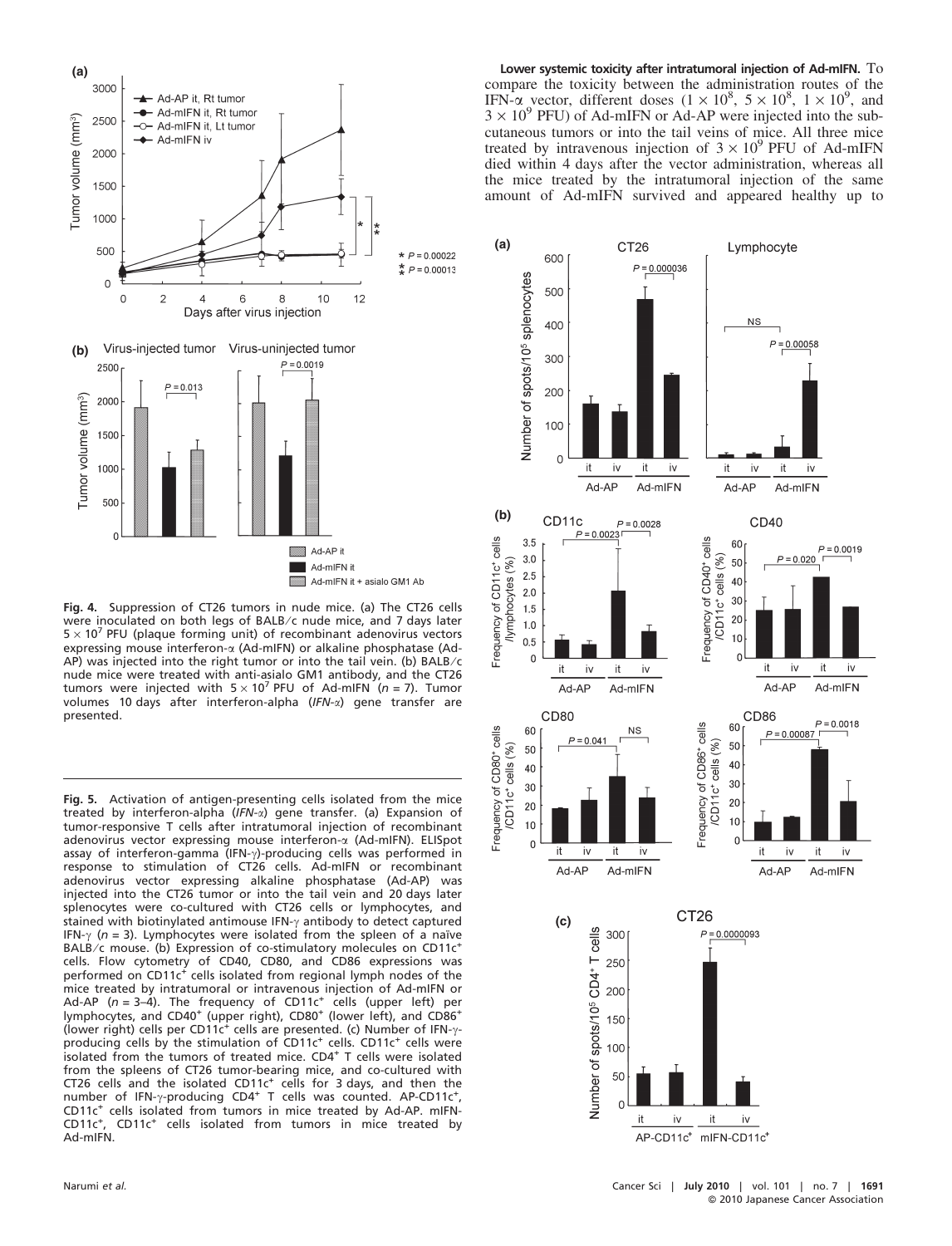

Fig. 4. Suppression of CT26 tumors in nude mice. (a) The CT26 cells were inoculated on both legs of BALB/c nude mice, and 7 days later  $5 \times 10^7$  PFU (plaque forming unit) of recombinant adenovirus vectors expressing mouse interferon-a (Ad-mIFN) or alkaline phosphatase (Ad-AP) was injected into the right tumor or into the tail vein. (b) BALB/c nude mice were treated with anti-asialo GM1 antibody, and the CT26 tumors were injected with  $5 \times 10^7$  PFU of Ad-mIFN (n = 7). Tumor volumes 10 days after interferon-alpha (IFN-a) gene transfer are presented.

Fig. 5. Activation of antigen-presenting cells isolated from the mice treated by interferon-alpha (IFN-a) gene transfer. (a) Expansion of tumor-responsive T cells after intratumoral injection of recombinant adenovirus vector expressing mouse interferon-a (Ad-mIFN). ELISpot assay of interferon-gamma (IFN- $\gamma$ )-producing cells was performed in response to stimulation of CT26 cells. Ad-mIFN or recombinant adenovirus vector expressing alkaline phosphatase (Ad-AP) was injected into the CT26 tumor or into the tail vein and 20 days later splenocytes were co-cultured with CT26 cells or lymphocytes, and stained with biotinylated antimouse IFN- $\gamma$  antibody to detect captured IFN- $\gamma$  (n = 3). Lymphocytes were isolated from the spleen of a naïve BALB/c mouse. (b) Expression of co-stimulatory molecules on CD11c<sup>+</sup> cells. Flow cytometry of CD40, CD80, and CD86 expressions was performed on  $CD11c<sup>+</sup>$  cells isolated from regional lymph nodes of the mice treated by intratumoral or intravenous injection of Ad-mIFN or Ad-AP ( $n = 3-4$ ). The frequency of CD11c<sup>+</sup> cells (upper left) per lymphocytes, and CD40<sup>+</sup> (upper right), CD80<sup>+</sup> (lower left), and CD86<sup>+</sup> (lower right) cells per CD11c<sup>+</sup> cells are presented. (c) Number of IFN- $\gamma$ producing cells by the stimulation of CD11c<sup>+</sup> cells. CD11c<sup>+</sup> cells were isolated from the tumors of treated mice. CD4<sup>+</sup> T cells were isolated from the spleens of CT26 tumor-bearing mice, and co-cultured with CT26 cells and the isolated CD11 $c<sup>+</sup>$  cells for 3 days, and then the number of IFN- $\gamma$ -producing CD4<sup>+</sup> T cells was counted. AP-CD11c<sup>+</sup>, CD11c<sup>+</sup> cells isolated from tumors in mice treated by Ad-AP. mIFN- $CD11c<sup>+</sup>$ , CD11c<sup>+</sup> cells isolated from tumors in mice treated by Ad-mIFN.

Lower systemic toxicity after intratumoral injection of Ad-mIFN. To compare the toxicity between the administration routes of the IFN- $\alpha$  vector, different doses  $(1 \times 10^8, 5 \times 10^8, 1 \times 10^9, \text{ and})$  $3 \times 10^{9}$  PFU) of Ad-mIFN or Ad-AP were injected into the subcutaneous tumors or into the tail veins of mice. All three mice treated by intravenous injection of  $3 \times 10^9$  PFU of Ad-mIFN died within 4 days after the vector administration, whereas all the mice treated by the intratumoral injection of the same amount of Ad-mIFN survived and appeared healthy up to

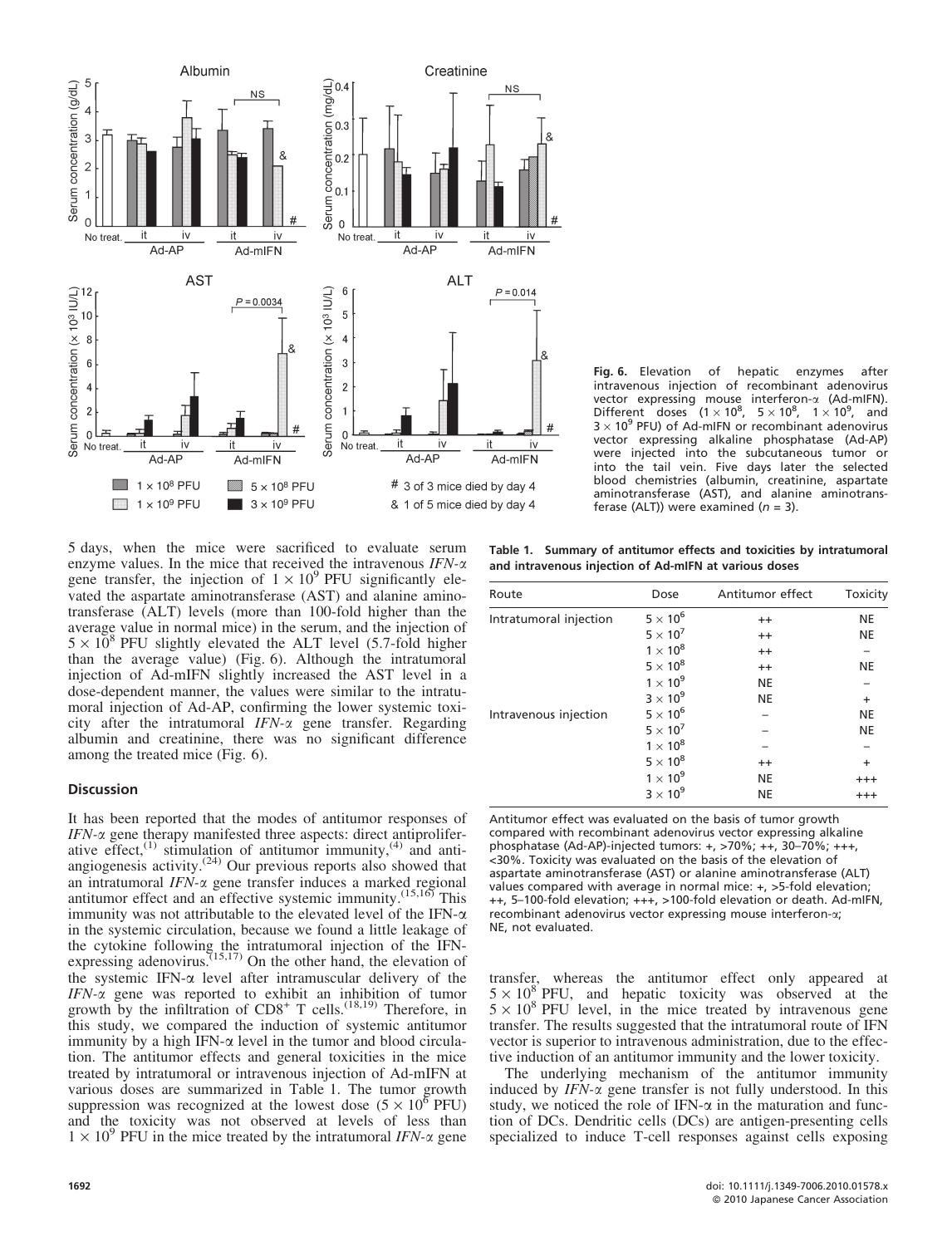

Fig. 6. Elevation of hepatic enzymes after intravenous injection of recombinant adenovirus vector expressing mouse interferon-a (Ad-mIFN). Different doses  $(1 \times 10^8, 5 \times 10^8, 1 \times 10^9,$  and  $3 \times 10^9$  PFU) of Ad-mIFN or recombinant adenovirus vector expressing alkaline phosphatase (Ad-AP) were injected into the subcutaneous tumor or into the tail vein. Five days later the selected blood chemistries (albumin, creatinine, aspartate aminotransferase (AST), and alanine aminotransferase (ALT)) were examined ( $n = 3$ ).

5 days, when the mice were sacrificed to evaluate serum enzyme values. In the mice that received the intravenous  $IFN-\alpha$ gene transfer, the injection of  $1 \times 10^9$  PFU significantly elevated the aspartate aminotransferase (AST) and alanine aminotransferase (ALT) levels (more than 100-fold higher than the average value in normal mice) in the serum, and the injection of  $5 \times 10^8$  PFU slightly elevated the ALT level (5.7-fold higher than the average value) (Fig. 6). Although the intratumoral injection of Ad-mIFN slightly increased the AST level in a dose-dependent manner, the values were similar to the intratumoral injection of Ad-AP, confirming the lower systemic toxicity after the intratumoral IFN-a gene transfer. Regarding albumin and creatinine, there was no significant difference among the treated mice (Fig. 6).

## Discussion

It has been reported that the modes of antitumor responses of  $IFN-\alpha$  gene therapy manifested three aspects: direct antiproliferative effect,<sup>(1)</sup> stimulation of antitumor immunity,<sup>(4)</sup> and antiangiogenesis activity.<sup> $(24)$ </sup> Our previous reports also showed that an intratumoral *IFN-* $\alpha$  gene transfer induces a marked regional antitumor effect and an effective systemic immunity.<sup>(15,16)</sup> This immunity was not attributable to the elevated level of the IFN- $\alpha$ in the systemic circulation, because we found a little leakage of the cytokine following the intratumoral injection of the IFN-expressing adenovirus.<sup> $(15,17)$ </sup> On the other hand, the elevation of the systemic IFN- $\alpha$  level after intramuscular delivery of the *IFN-* $\alpha$  gene was reported to exhibit an inhibition of tumor growth by the infiltration of CD8<sup>+</sup> T cells.<sup>(18,19)</sup> Therefore, in this study, we compared the induction of systemic antitumor immunity by a high IFN- $\alpha$  level in the tumor and blood circulation. The antitumor effects and general toxicities in the mice treated by intratumoral or intravenous injection of Ad-mIFN at various doses are summarized in Table 1. The tumor growth suppression was recognized at the lowest dose  $(5 \times 10^6 \text{ PFU})$ and the toxicity was not observed at levels of less than  $1 \times 10^9$  PFU in the mice treated by the intratumoral IFN- $\alpha$  gene

Table 1. Summary of antitumor effects and toxicities by intratumoral and intravenous injection of Ad-mIFN at various doses

| Route                  | Dose            | Antitumor effect | Toxicity  |
|------------------------|-----------------|------------------|-----------|
| Intratumoral injection | $5\times10^6$   | $^{++}$          | <b>NE</b> |
|                        | $5 \times 10^7$ | $^{++}$          | <b>NE</b> |
|                        | $1 \times 10^8$ | $^{++}$          |           |
|                        | $5 \times 10^8$ | $^{++}$          | <b>NE</b> |
|                        | $1 \times 10^9$ | <b>NE</b>        |           |
|                        | $3 \times 10^9$ | <b>NE</b>        | $\ddot{}$ |
| Intravenous injection  | $5 \times 10^6$ |                  | <b>NE</b> |
|                        | $5 \times 10^7$ |                  | <b>NE</b> |
|                        | $1 \times 10^8$ |                  |           |
|                        | $5 \times 10^8$ | $^{++}$          | $\ddot{}$ |
|                        | $1 \times 10^9$ | <b>NE</b>        | $^{+++}$  |
|                        | $3 \times 10^9$ | <b>NE</b>        | $^{+++}$  |

Antitumor effect was evaluated on the basis of tumor growth compared with recombinant adenovirus vector expressing alkaline phosphatase (Ad-AP)-injected tumors: +, >70%; ++, 30–70%; +++, <30%. Toxicity was evaluated on the basis of the elevation of aspartate aminotransferase (AST) or alanine aminotransferase (ALT) values compared with average in normal mice: +, >5-fold elevation; ++, 5–100-fold elevation; +++, >100-fold elevation or death. Ad-mIFN, recombinant adenovirus vector expressing mouse interferon-a; NE, not evaluated.

transfer, whereas the antitumor effect only appeared at  $5 \times 10^8$  PFU, and hepatic toxicity was observed at the  $5 \times 10^8$  PFU level, in the mice treated by intravenous gene transfer. The results suggested that the intratumoral route of IFN vector is superior to intravenous administration, due to the effective induction of an antitumor immunity and the lower toxicity.

The underlying mechanism of the antitumor immunity induced by  $IFN-\alpha$  gene transfer is not fully understood. In this study, we noticed the role of IFN- $\alpha$  in the maturation and function of DCs. Dendritic cells (DCs) are antigen-presenting cells specialized to induce T-cell responses against cells exposing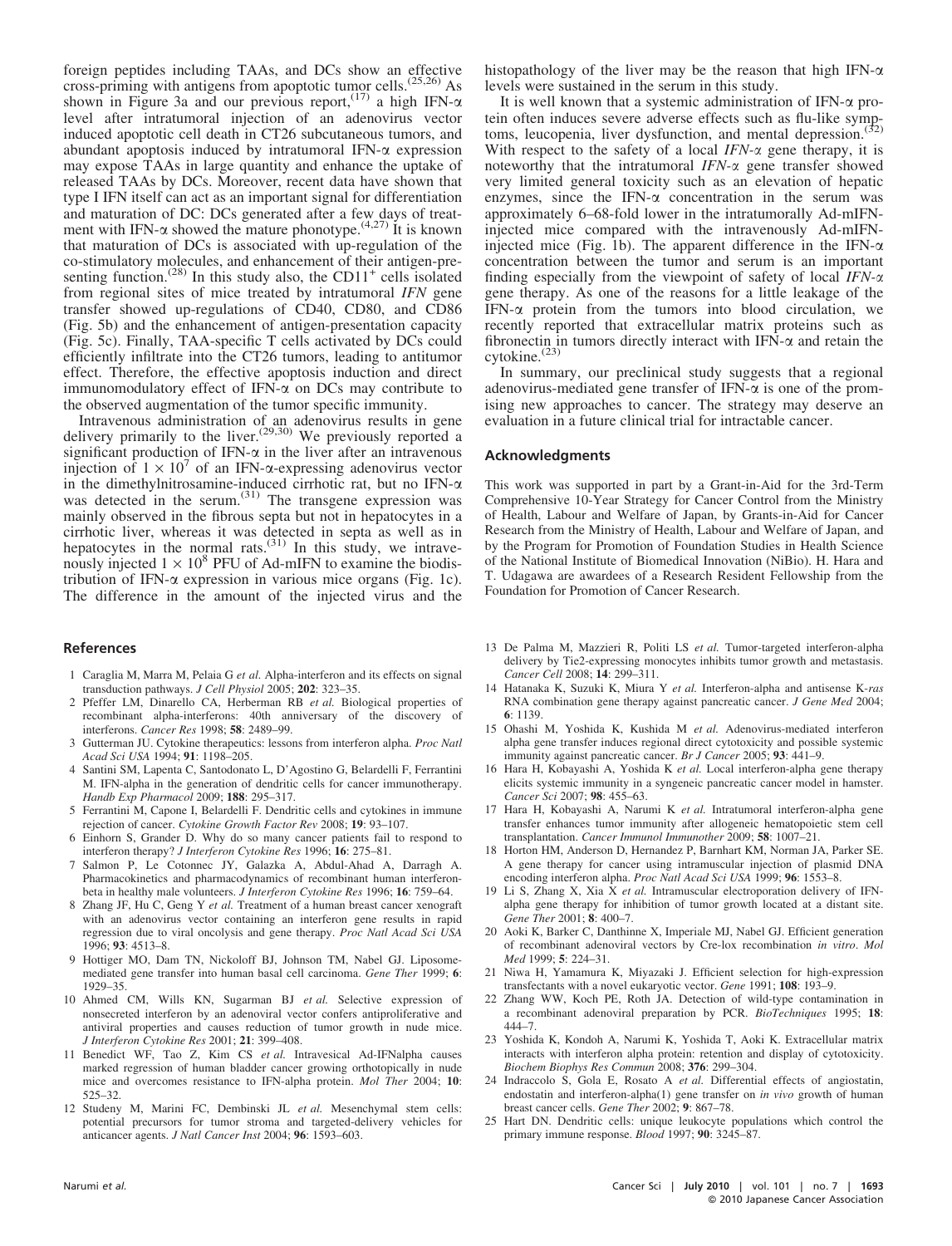foreign peptides including TAAs, and DCs show an effective cross-priming with antigens from apoptotic tumor cells.(25,26) As shown in Figure 3a and our previous report,  $(17)$  a high IFN- $\alpha$ level after intratumoral injection of an adenovirus vector induced apoptotic cell death in CT26 subcutaneous tumors, and abundant apoptosis induced by intratumoral IFN- $\alpha$  expression may expose TAAs in large quantity and enhance the uptake of released TAAs by DCs. Moreover, recent data have shown that type I IFN itself can act as an important signal for differentiation and maturation of DC: DCs generated after a few days of treatment with IFN- $\alpha$  showed the mature phonotype.<sup>(4,27)</sup> It is known that maturation of DCs is associated with up-regulation of the co-stimulatory molecules, and enhancement of their antigen-presenting function.<sup> $(28)$ </sup> In this study also, the CD11<sup>+</sup> cells isolated from regional sites of mice treated by intratumoral IFN gene transfer showed up-regulations of CD40, CD80, and CD86 (Fig. 5b) and the enhancement of antigen-presentation capacity (Fig. 5c). Finally, TAA-specific T cells activated by DCs could efficiently infiltrate into the CT26 tumors, leading to antitumor effect. Therefore, the effective apoptosis induction and direct immunomodulatory effect of IFN- $\alpha$  on DCs may contribute to the observed augmentation of the tumor specific immunity.

Intravenous administration of an adenovirus results in general delivery primarily to the liver.<sup>(29,30)</sup> We previously reported a significant production of IFN- $\alpha$  in the liver after an intravenous injection of  $1 \times 10^7$  of an IFN- $\alpha$ -expressing adenovirus vector in the dimethylnitrosamine-induced cirrhotic rat, but no IFN- $\alpha$ was detected in the serum. $^{(31)}$  The transgene expression was mainly observed in the fibrous septa but not in hepatocytes in a cirrhotic liver, whereas it was detected in septa as well as in hepatocytes in the normal rats. $(31)$  In this study, we intravenously injected  $1 \times 10^8$  PFU of Ad-mIFN to examine the biodistribution of IFN- $\alpha$  expression in various mice organs (Fig. 1c). The difference in the amount of the injected virus and the

#### References

- 1 Caraglia M, Marra M, Pelaia G et al. Alpha-interferon and its effects on signal transduction pathways. J Cell Physiol  $2005$ ;  $202$ : 323-35.
- 2 Pfeffer LM, Dinarello CA, Herberman RB et al. Biological properties of recombinant alpha-interferons: 40th anniversary of the discovery of interferons. Cancer Res 1998; 58: 2489–99.
- 3 Gutterman JU. Cytokine therapeutics: lessons from interferon alpha. Proc Natl Acad Sci USA 1994; 91: 1198–205.
- 4 Santini SM, Lapenta C, Santodonato L, D'Agostino G, Belardelli F, Ferrantini M. IFN-alpha in the generation of dendritic cells for cancer immunotherapy. Handb Exp Pharmacol 2009; 188: 295–317.
- 5 Ferrantini M, Capone I, Belardelli F. Dendritic cells and cytokines in immune rejection of cancer. Cytokine Growth Factor Rev 2008; 19: 93–107.
- 6 Einhorn S, Grander D. Why do so many cancer patients fail to respond to interferon therapy? J Interferon Cytokine Res 1996; 16: 275–81.
- 7 Salmon P, Le Cotonnec JY, Galazka A, Abdul-Ahad A, Darragh A. Pharmacokinetics and pharmacodynamics of recombinant human interferonbeta in healthy male volunteers. J Interferon Cytokine Res 1996; 16: 759–64.
- 8 Zhang JF, Hu C, Geng Y et al. Treatment of a human breast cancer xenograft with an adenovirus vector containing an interferon gene results in rapid regression due to viral oncolysis and gene therapy. Proc Natl Acad Sci USA 1996; 93: 4513–8.
- 9 Hottiger MO, Dam TN, Nickoloff BJ, Johnson TM, Nabel GJ. Liposomemediated gene transfer into human basal cell carcinoma. Gene Ther 1999; 6: 1929–35.
- 10 Ahmed CM, Wills KN, Sugarman BJ et al. Selective expression of nonsecreted interferon by an adenoviral vector confers antiproliferative and antiviral properties and causes reduction of tumor growth in nude mice. J Interferon Cytokine Res 2001; 21: 399–408.
- 11 Benedict WF, Tao Z, Kim CS et al. Intravesical Ad-IFNalpha causes marked regression of human bladder cancer growing orthotopically in nude mice and overcomes resistance to IFN-alpha protein. Mol Ther 2004; 10: 525–32.
- 12 Studeny M, Marini FC, Dembinski JL et al. Mesenchymal stem cells: potential precursors for tumor stroma and targeted-delivery vehicles for anticancer agents. J Natl Cancer Inst 2004; 96: 1593–603.

histopathology of the liver may be the reason that high IFN- $\alpha$ levels were sustained in the serum in this study.

It is well known that a systemic administration of IFN- $\alpha$  protein often induces severe adverse effects such as flu-like symptoms, leucopenia, liver dysfunction, and mental depression. With respect to the safety of a local  $IFN-\alpha$  gene therapy, it is noteworthy that the intratumoral  $IFN-\alpha$  gene transfer showed very limited general toxicity such as an elevation of hepatic enzymes, since the IFN-a concentration in the serum was approximately 6–68-fold lower in the intratumorally Ad-mIFNinjected mice compared with the intravenously Ad-mIFNinjected mice (Fig. 1b). The apparent difference in the IFN- $\alpha$ concentration between the tumor and serum is an important finding especially from the viewpoint of safety of local  $IFN-\alpha$ gene therapy. As one of the reasons for a little leakage of the IFN- $\alpha$  protein from the tumors into blood circulation, we recently reported that extracellular matrix proteins such as fibronectin in tumors directly interact with IFN- $\alpha$  and retain the cytokine.<sup>(23)</sup>

In summary, our preclinical study suggests that a regional adenovirus-mediated gene transfer of IFN- $\alpha$  is one of the promising new approaches to cancer. The strategy may deserve an evaluation in a future clinical trial for intractable cancer.

#### Acknowledgments

This work was supported in part by a Grant-in-Aid for the 3rd-Term Comprehensive 10-Year Strategy for Cancer Control from the Ministry of Health, Labour and Welfare of Japan, by Grants-in-Aid for Cancer Research from the Ministry of Health, Labour and Welfare of Japan, and by the Program for Promotion of Foundation Studies in Health Science of the National Institute of Biomedical Innovation (NiBio). H. Hara and T. Udagawa are awardees of a Research Resident Fellowship from the Foundation for Promotion of Cancer Research.

- 13 De Palma M, Mazzieri R, Politi LS et al. Tumor-targeted interferon-alpha delivery by Tie2-expressing monocytes inhibits tumor growth and metastasis. Cancer Cell 2008; 14: 299–311.
- 14 Hatanaka K, Suzuki K, Miura Y et al. Interferon-alpha and antisense K-ras RNA combination gene therapy against pancreatic cancer. J Gene Med 2004; 6: 1139.
- 15 Ohashi M, Yoshida K, Kushida M et al. Adenovirus-mediated interferon alpha gene transfer induces regional direct cytotoxicity and possible systemic immunity against pancreatic cancer. Br J Cancer 2005; 93: 441-9.
- 16 Hara H, Kobayashi A, Yoshida K et al. Local interferon-alpha gene therapy elicits systemic immunity in a syngeneic pancreatic cancer model in hamster. Cancer Sci 2007; 98: 455–63.
- 17 Hara H, Kobayashi A, Narumi K et al. Intratumoral interferon-alpha gene transfer enhances tumor immunity after allogeneic hematopoietic stem cell transplantation. Cancer Immunol Immunother 2009; 58: 1007–21.
- 18 Horton HM, Anderson D, Hernandez P, Barnhart KM, Norman JA, Parker SE. A gene therapy for cancer using intramuscular injection of plasmid DNA encoding interferon alpha. Proc Natl Acad Sci USA 1999; 96: 1553–8.
- 19 Li S, Zhang X, Xia X et al. Intramuscular electroporation delivery of IFNalpha gene therapy for inhibition of tumor growth located at a distant site. Gene Ther 2001; 8: 400-7.
- 20 Aoki K, Barker C, Danthinne X, Imperiale MJ, Nabel GJ. Efficient generation of recombinant adenoviral vectors by Cre-lox recombination in vitro. Mol Med 1999; 5: 224–31.
- 21 Niwa H, Yamamura K, Miyazaki J. Efficient selection for high-expression transfectants with a novel eukaryotic vector. Gene 1991; 108: 193–9.
- 22 Zhang WW, Koch PE, Roth JA. Detection of wild-type contamination in a recombinant adenoviral preparation by PCR. BioTechniques 1995; 18: 444–7.
- 23 Yoshida K, Kondoh A, Narumi K, Yoshida T, Aoki K. Extracellular matrix interacts with interferon alpha protein: retention and display of cytotoxicity. Biochem Biophys Res Commun 2008; 376: 299–304.
- 24 Indraccolo S, Gola E, Rosato A et al. Differential effects of angiostatin, endostatin and interferon-alpha(1) gene transfer on in vivo growth of human breast cancer cells. Gene Ther 2002; 9: 867–78.
- 25 Hart DN. Dendritic cells: unique leukocyte populations which control the primary immune response. Blood 1997; 90: 3245–87.